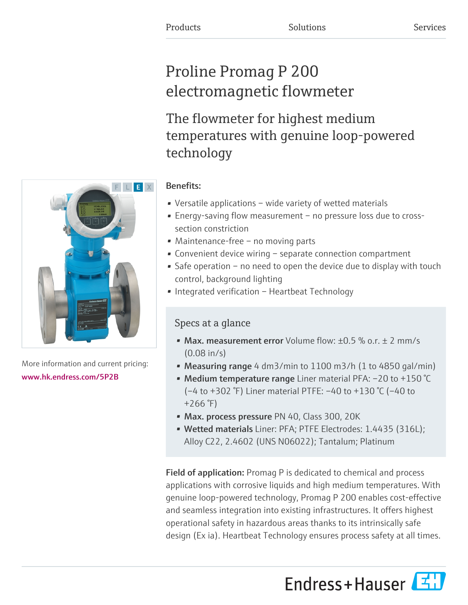# Proline Promag P 200 electromagnetic flowmeter

The flowmeter for highest medium temperatures with genuine loop-powered technology

# Benefits:

- Versatile applications wide variety of wetted materials
- Energy-saving flow measurement no pressure loss due to crosssection constriction
- Maintenance-free no moving parts
- Convenient device wiring separate connection compartment
- Safe operation no need to open the device due to display with touch control, background lighting
- Integrated verification Heartbeat Technology

# Specs at a glance

- Max. measurement error Volume flow:  $\pm 0.5$  % o.r.  $\pm$  2 mm/s (0.08 in/s)
- Measuring range 4 dm3/min to 1100 m3/h (1 to 4850 gal/min)
- Medium temperature range Liner material PFA: -20 to +150 °C (–4 to +302 °F) Liner material PTFE: –40 to +130 °C (–40 to  $+266$ °F)
- Max. process pressure PN 40, Class 300, 20K
- Wetted materials Liner: PFA; PTFE Electrodes: 1.4435 (316L); Alloy C22, 2.4602 (UNS N06022); Tantalum; Platinum

Field of application: Promag P is dedicated to chemical and process applications with corrosive liquids and high medium temperatures. With genuine loop-powered technology, Promag P 200 enables cost-effective and seamless integration into existing infrastructures. It offers highest operational safety in hazardous areas thanks to its intrinsically safe design (Ex ia). Heartbeat Technology ensures process safety at all times.

Endress+Hauser



More information and current pricing: [www.hk.endress.com/5P2B](https://www.hk.endress.com/5P2B)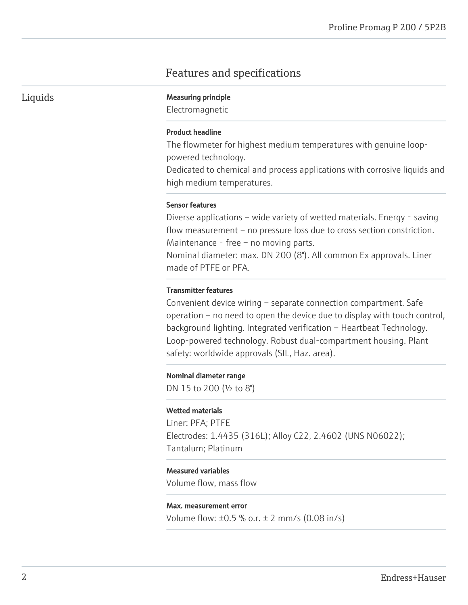# Features and specifications

Liquids Measuring principle

Electromagnetic

#### Product headline

The flowmeter for highest medium temperatures with genuine looppowered technology.

Dedicated to chemical and process applications with corrosive liquids and high medium temperatures.

#### Sensor features

Diverse applications – wide variety of wetted materials. Energy - saving flow measurement – no pressure loss due to cross section constriction. Maintenance - free – no moving parts.

Nominal diameter: max. DN 200 (8"). All common Ex approvals. Liner made of PTFE or PFA.

## Transmitter features

Convenient device wiring – separate connection compartment. Safe operation – no need to open the device due to display with touch control, background lighting. Integrated verification – Heartbeat Technology. Loop-powered technology. Robust dual-compartment housing. Plant safety: worldwide approvals (SIL, Haz. area).

#### Nominal diameter range

DN 15 to 200 (½ to 8")

#### Wetted materials

Liner: PFA; PTFE Electrodes: 1.4435 (316L); Alloy C22, 2.4602 (UNS N06022); Tantalum; Platinum

## Measured variables

Volume flow, mass flow

#### Max. measurement error

Volume flow: ±0.5 % o.r. ± 2 mm/s (0.08 in/s)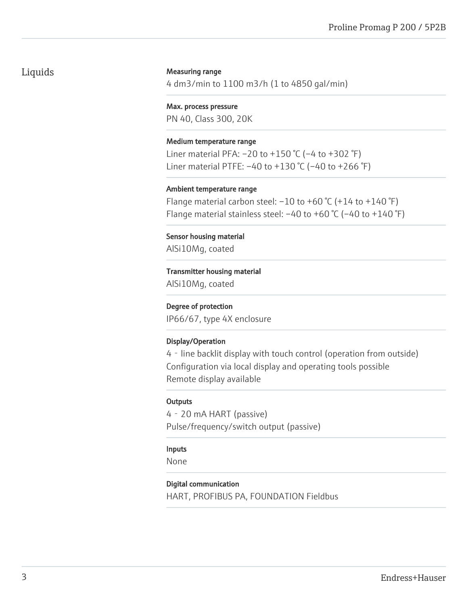# Liquids

## Measuring range

4 dm3/min to 1100 m3/h (1 to 4850 gal/min)

#### Max. process pressure

PN 40, Class 300, 20K

#### Medium temperature range

Liner material PFA:  $-20$  to  $+150$  °C ( $-4$  to  $+302$  °F) Liner material PTFE:  $-40$  to  $+130$  °C ( $-40$  to  $+266$  °F)

#### Ambient temperature range

Flange material carbon steel:  $-10$  to  $+60$  °C ( $+14$  to  $+140$  °F) Flange material stainless steel:  $-40$  to  $+60$  °C ( $-40$  to  $+140$  °F)

Sensor housing material AlSi10Mg, coated

#### Transmitter housing material

AlSi10Mg, coated

#### Degree of protection

IP66/67, type 4X enclosure

## Display/Operation

4‐line backlit display with touch control (operation from outside) Configuration via local display and operating tools possible Remote display available

## **Outputs**

4‐20 mA HART (passive) Pulse/frequency/switch output (passive)

## Inputs

None

## Digital communication

HART, PROFIBUS PA, FOUNDATION Fieldbus